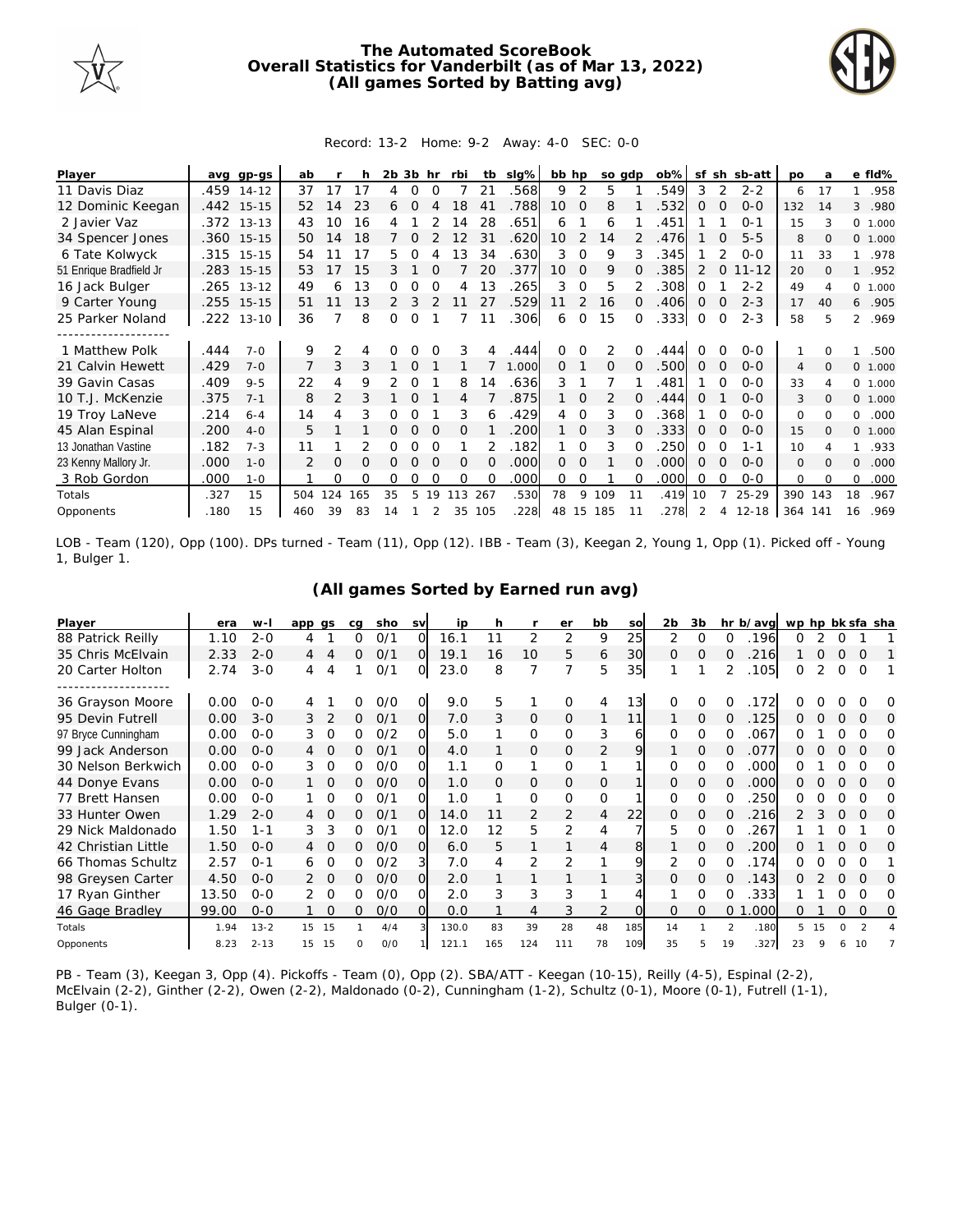

## **The Automated ScoreBook Overall Statistics for Vanderbilt (as of Mar 13, 2022) (All games Sorted by Batting avg)**



## Record: 13-2 Home: 9-2 Away: 4-0 SEC: 0-0

| Player                  | avq  | gp-gs      | ab  |               |     | 2b | 3b       | hr       | rbi      | tb             | $slq\%$ | bb hp |                | so gdp         |    | $ob\%$ | sf       | sh       | sb-att    | <b>DO</b>       | a        |                | e fld%  |
|-------------------------|------|------------|-----|---------------|-----|----|----------|----------|----------|----------------|---------|-------|----------------|----------------|----|--------|----------|----------|-----------|-----------------|----------|----------------|---------|
| 11 Davis Diaz           | .459 | $14 - 12$  | 37  |               |     | 4  | Ω        | 0        |          | 21             | 568     | 9     | 2              | 5              |    | 549    | 3        |          | $2 - 2$   | 6               | 17       |                | .958    |
| 12 Dominic Keegan       |      | .442 15-15 | 52  | 14            | 23  | 6  | $\Omega$ |          | 18       | 4 <sup>1</sup> | .788    | 10    | $\overline{0}$ | 8              |    | 532    | O        | $\Omega$ | $0 - 0$   | 132             | 14       | 3              | .980    |
| 2 Javier Vaz            |      | .372 13-13 | 43  | 10            | 16  |    |          |          | 14       | 28             | .651    | 6     |                | 6              |    | .451   |          |          | $O - 1$   | 15              |          | $\circ$        | 1.000   |
| 34 Spencer Jones        |      | .360 15-15 | 50  | 14            | 18  |    | Ω        |          | 12       | 31             | .620    | 10    | 2              | 14             |    | .476   |          | O        | $5 - 5$   | 8               | $\Omega$ |                | 0 1.000 |
| 6 Tate Kolwyck          |      | .315 15-15 | 54  |               | 17  | 5  | Ω        |          | 13       | 34             | .630    | 3     | $\Omega$       | 9              | 3  | 345    |          |          | $0 - 0$   | 11              | 33       |                | .978    |
| 51 Enrique Bradfield Jr | .283 | $15 - 15$  | 53  |               | 15  | 3  |          |          |          | 20             | 377     | 10    | $\Omega$       | 9              |    | .385   |          |          | $11 - 12$ | 20              | $\Omega$ |                | .952    |
| 16 Jack Bulger          | .265 | $13 - 12$  | 49  | 6             | 13  | Ω  | Ω        |          | 4        | 13             | 265     | 3     | $\Omega$       | 5              |    | .308   | O        |          | $2 - 2$   | 49              |          |                | 0 1.000 |
| 9 Carter Young          |      | .255 15-15 | 51  |               | 13  | 2  | 3        |          |          | 27             | .529    | 11    | 2              | 16             | 0  | .406   | 0        | $\Omega$ | $2 - 3$   | 17              | 40       | 6              | .905    |
| 25 Parker Noland        | .222 | $13 - 10$  | 36  |               | 8   | Ω  | O        |          |          | 11             | .306    | 6     | $\Omega$       | 15             | 0  | .333   | 0        | $\Omega$ | $2 - 3$   | 58              | 5        | $\overline{2}$ | .969    |
|                         |      |            |     |               |     |    |          |          |          |                |         |       |                |                |    |        |          |          |           |                 |          |                |         |
| 1 Matthew Polk          | .444 | $7 - 0$    | 9   | $\mathcal{P}$ |     |    |          |          | 3        |                | .444    | 0     | O              | $\mathfrak{D}$ |    | 444    |          |          | $0 - 0$   |                 |          |                | .500    |
| 21 Calvin Hewett        | .429 | $7 - 0$    |     | 3             | 3   |    | O        |          |          |                | 1.000   | 0     |                | O              |    | 500    | $\Omega$ |          | $0 - 0$   | 4               | $\Omega$ |                | 0 1.000 |
| 39 Gavin Casas          | .409 | $9 - 5$    | 22  | 4             | 9   | 2  | 0        |          | 8        | 14             | .636    | 3     |                |                |    | .481   |          | O        | $0 - 0$   | 33              |          |                | 0 1.000 |
| 10 T.J. McKenzie        | .375 | $7 - 1$    | 8   | 2             | 3   |    | Ω        |          |          |                | .875    |       | $\Omega$       | 2              |    | .444   | Ω        |          | $0 - 0$   | 3               | $\Omega$ |                | 0 1.000 |
| 19 Troy LaNeve          | .214 | $6 - 4$    | 14  | 4             | 3   |    | O        |          | 3        | 6              | .429    | 4     | $\Omega$       | 3              |    | .368   |          |          | $0 - 0$   | 0               | $\Omega$ | 0              | .000    |
| 45 Alan Espinal         | .200 | $4-0$      | 5   |               |     | 0  | $\Omega$ | $\Omega$ | $\Omega$ |                | 200     |       | 0              | 3              | 0  | 333    | 0        | $\Omega$ | $0 - 0$   | 15              | $\Omega$ |                | 0 1.000 |
| 13 Jonathan Vastine     | .182 | $7 - 3$    | 11  |               |     | Ω  | Ω        |          |          |                | .182    |       | O              | 3              |    | 250    | O        | $\Omega$ | $1 - 1$   | 10 <sup>2</sup> |          |                | .933    |
| 23 Kenny Mallory Jr.    | .000 | $1 - 0$    |     | $\Omega$      | O   | Ω  | $\Omega$ | $\Omega$ | $\Omega$ | $\Omega$       | .000    | 0     | $\Omega$       |                | 0  | .000   | $\Omega$ | $\Omega$ | $0 - 0$   | $\mathbf{O}$    | $\Omega$ | $\mathbf{0}$   | .000    |
| 3 Rob Gordon            | .000 | $1 - 0$    |     | Ω             | 0   | Ω  | Ω        | 0        | $\Omega$ |                | .000    | 0     | 0              |                | 0  | .000   | O        | ∩        | $0 - 0$   | $\Omega$        | $\Omega$ | $\Omega$       | .000    |
| Totals                  | .327 | 15         | 504 | 124           | 165 | 35 | 5        | 19       | 113      | 267            | .530    | 78    | 9              | 109            | 11 | .419   | 10       |          | $25 - 29$ | 390             | 143      | 18             | .967    |
| Opponents               | .180 | 15         | 460 | 39            | 83  | 14 |          |          | 35       | 105            | 228     | 48    | 15             | 185            | 11 | .278   |          | 4        | $12 - 18$ | 364 141         |          | 16             | .969    |

LOB - Team (120), Opp (100). DPs turned - Team (11), Opp (12). IBB - Team (3), Keegan 2, Young 1, Opp (1). Picked off - Young 1, Bulger 1.

| Player              | era   | w-l      | app gs         |          | ca | sho | <b>SV</b>      | ip    | h   |                | er             | bb       | SO  | 2 <sub>b</sub> | 3b       |          | hr b/avg | wp hp bk sfa sha |    |          |               |   |
|---------------------|-------|----------|----------------|----------|----|-----|----------------|-------|-----|----------------|----------------|----------|-----|----------------|----------|----------|----------|------------------|----|----------|---------------|---|
| 88 Patrick Reilly   | 1.10  | $2 - 0$  | 4              |          | 0  | 0/1 | O.             | 16.1  |     | 2              | 2              | 9        | 25  | 2              | 0        | 0        | 196      | O                |    |          |               |   |
| 35 Chris McElvain   | 2.33  | $2 - 0$  | 4              | 4        | 0  | 0/1 | O.             | 19.1  | 16  | 10             | 5              | 6        | 30  | 0              | 0        | Ω        | 216      |                  | O  | $\Omega$ | $\Omega$      |   |
| 20 Carter Holton    | 2.74  | $3 - 0$  | 4              | 4        |    | O/1 | 0l             | 23.0  | 8   | 7              |                | 5        | 35  |                |          | 2        | .105     | 0                | 2  | 0        | $\Omega$      |   |
| -----------------   |       |          |                |          |    |     |                |       |     |                |                |          |     |                |          |          |          |                  |    |          |               |   |
| 36 Grayson Moore    | 0.00  | $O - O$  |                |          | Ω  | O/O | O.             | 9.0   | 5   | 1              | $\Omega$       | 4        | 13  | 0              | 0        |          | 172      |                  |    |          |               | O |
| 95 Devin Futrell    | 0.00  | $3 - 0$  | 3              | 2        | 0  | 0/1 | $\overline{O}$ | 7.0   | 3   | $\overline{0}$ | $\mathcal{O}$  |          | 11  |                | 0        | O        | 125      | Ω                | Ω  | $\Omega$ | $\Omega$      | O |
| 97 Bryce Cunningham | 0.00  | $O - O$  | 3              | $\Omega$ | 0  | O/2 | O.             | 5.0   |     | 0              | $\Omega$       | 3        | 6   | $\Omega$       | $\Omega$ | 0        | .067     | Ω                |    | O        | ∩             | O |
| 99 Jack Anderson    | 0.00  | $O - O$  |                | 0        | 0  | O/1 | Ol             | 4.0   |     | 0              | 0              | 2        | 9   |                | 0        | O        | .077     | O                | Ο  | 0        | $\Omega$      | O |
| 30 Nelson Berkwich  | 0.00  | $O - O$  | 3              | 0        | 0  | O/O | O.             | 1.1   | 0   | 1              | 0              |          |     | 0              | 0        | 0        | .000     | Ω                |    |          |               | Ω |
| 44 Donye Evans      | 0.00  | $0 - 0$  |                | $\circ$  | 0  | 0/0 | O              | 1.0   | O   | $\mathcal{O}$  | $\Omega$       | 0        |     | 0              | O        | Ω        | 000      | 0                |    | $\Omega$ | $\Omega$      | O |
| 77 Brett Hansen     | 0.00  | $O - O$  |                | $\Omega$ | 0  | 0/1 | O.             | 1.0   |     | $\Omega$       | $\Omega$       | $\Omega$ |     | 0              | 0        | 0        | 250      | 0                | n  | 0        | ∩             | O |
| 33 Hunter Owen      | 1.29  | $2 - 0$  |                | $\circ$  | 0  | 0/1 | $\Omega$       | 14.0  |     | 2              | 2              | 4        | 22  | 0              | 0        | O        | 216      | 2                | 3  | 0        | $\Omega$      | O |
| 29 Nick Maldonado   | 1.50  | 1-1      | 3              | 3        | Ω  | 0/1 | O.             | 12.0  | 12  | 5              | $\overline{2}$ | 4        |     | 5.             | $\Omega$ | 0        | .267     |                  |    |          |               | Ω |
| 42 Christian Little | 1.50  | $O-O$    | 4              | $\Omega$ | 0  | O/O | $\Omega$       | 6.0   | 5   | 1              |                | 4        | 8   |                | O        | 0        | 200      | O                |    | $\Omega$ | $\Omega$      | ∩ |
| 66 Thomas Schultz   | 2.57  | $O - 1$  | 6              | 0        | 0  | O/2 | 31             | 7.0   | 4   | 2              | 2              |          | 9   | 2              | 0        | 0        | .174     | 0                | Ω  | 0        | O             |   |
| 98 Greysen Carter   | 4.50  | $O-O$    |                | $\circ$  | 0  | O/O | O.             | 2.0   |     |                |                |          | 3   | 0              | Ω        | Ω        | .143     | O                |    | $\Omega$ | $\Omega$      | O |
| 17 Ryan Ginther     | 13.50 | $O - O$  | $\overline{2}$ | 0        | 0  | O/O | O.             | 2.0   | 3   | 3              | 3              |          |     |                | 0        | 0        | .333     |                  |    |          | O             | Ω |
| 46 Gage Bradley     | 99.00 | $O - O$  |                | $\Omega$ | 0  | O/O | $\Omega$       | 0.0   |     | 4              | 3              | 2        |     | Ω              | $\Omega$ | $\Omega$ | .000     | 0                |    |          | $\Omega$      | 0 |
| Totals              | 1.94  | $13 - 2$ | 15             | - 15     |    | 4/4 |                | 130.0 | 83  | 39             | 28             | 48       | 185 | 14             |          | 2        | .180     | 5.               | 15 | $\Omega$ | $\mathcal{P}$ |   |
| Opponents           | 8.23  | $2 - 13$ | 15             | 15       | O  | O/O |                | 121.1 | 165 | 124            | 111            | 78       | 109 | 35             | 5        | 19       | .327     | 23               | Q  | 6        | 10            |   |

## **(All games Sorted by Earned run avg)**

PB - Team (3), Keegan 3, Opp (4). Pickoffs - Team (0), Opp (2). SBA/ATT - Keegan (10-15), Reilly (4-5), Espinal (2-2), McElvain (2-2), Ginther (2-2), Owen (2-2), Maldonado (0-2), Cunningham (1-2), Schultz (0-1), Moore (0-1), Futrell (1-1), Bulger (0-1).